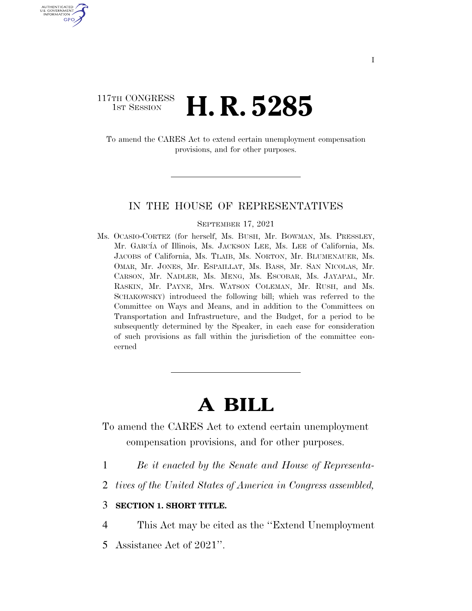### 117TH CONGRESS<br>1st Session H. R. 5285

U.S. GOVERNMENT GPO

> To amend the CARES Act to extend certain unemployment compensation provisions, and for other purposes.

#### IN THE HOUSE OF REPRESENTATIVES

#### SEPTEMBER 17, 2021

Ms. OCASIO-CORTEZ (for herself, Ms. BUSH, Mr. BOWMAN, Ms. PRESSLEY, Mr. GARCÍA of Illinois, Ms. JACKSON LEE, Ms. LEE of California, Ms. JACOBS of California, Ms. TLAIB, Ms. NORTON, Mr. BLUMENAUER, Ms. OMAR, Mr. JONES, Mr. ESPAILLAT, Ms. BASS, Mr. SAN NICOLAS, Mr. CARSON, Mr. NADLER, Ms. MENG, Ms. ESCOBAR, Ms. JAYAPAL, Mr. RASKIN, Mr. PAYNE, Mrs. WATSON COLEMAN, Mr. RUSH, and Ms. SCHAKOWSKY) introduced the following bill; which was referred to the Committee on Ways and Means, and in addition to the Committees on Transportation and Infrastructure, and the Budget, for a period to be subsequently determined by the Speaker, in each case for consideration of such provisions as fall within the jurisdiction of the committee concerned

# **A BILL**

- To amend the CARES Act to extend certain unemployment compensation provisions, and for other purposes.
- 1 *Be it enacted by the Senate and House of Representa-*
- 2 *tives of the United States of America in Congress assembled,*

### 3 **SECTION 1. SHORT TITLE.**

4 This Act may be cited as the ''Extend Unemployment

5 Assistance Act of 2021''.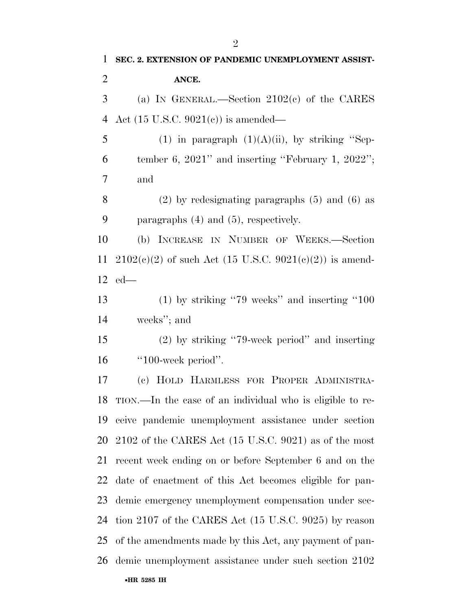| $\mathbf{1}$   | SEC. 2. EXTENSION OF PANDEMIC UNEMPLOYMENT ASSIST-           |
|----------------|--------------------------------------------------------------|
| $\overline{2}$ | ANCE.                                                        |
| 3              | (a) IN GENERAL.—Section $2102(c)$ of the CARES               |
| $\overline{4}$ | Act $(15 \text{ U.S.C. } 9021(e))$ is amended—               |
| 5              | (1) in paragraph $(1)(A)(ii)$ , by striking "Sep-            |
| 6              | tember 6, 2021" and inserting "February 1, 2022";            |
| 7              | and                                                          |
| 8              | $(2)$ by redesignating paragraphs $(5)$ and $(6)$ as         |
| 9              | paragraphs $(4)$ and $(5)$ , respectively.                   |
| 10             | (b) INCREASE IN NUMBER OF WEEKS.-Section                     |
| 11             | $2102(c)(2)$ of such Act (15 U.S.C. 9021(c)(2)) is amend-    |
|                | $12$ ed—                                                     |
| 13             | $(1)$ by striking "79 weeks" and inserting "100              |
| 14             | weeks"; and                                                  |
| 15             | $(2)$ by striking "79-week period" and inserting             |
| 16             | "100-week period".                                           |
| 17             | (c) HOLD HARMLESS FOR PROPER ADMINISTRA-                     |
|                | 18 TION.—In the case of an individual who is eligible to re- |
| 19             | ceive pandemic unemployment assistance under section         |
| 20             | $2102$ of the CARES Act (15 U.S.C. 9021) as of the most      |
| 21             | recent week ending on or before September 6 and on the       |
| 22             | date of enactment of this Act becomes eligible for pan-      |
| 23             | demic emergency unemployment compensation under sec-         |
| 24             | tion 2107 of the CARES Act (15 U.S.C. 9025) by reason        |
| 25             | of the amendments made by this Act, any payment of pan-      |
| 26             | demic unemployment assistance under such section 2102        |
|                | •HR 5285 IH                                                  |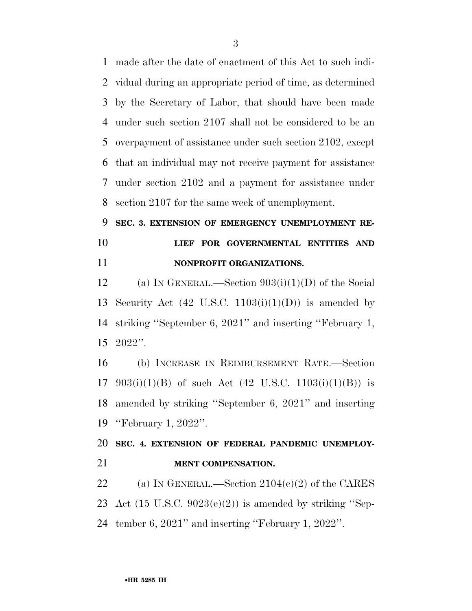made after the date of enactment of this Act to such indi- vidual during an appropriate period of time, as determined by the Secretary of Labor, that should have been made under such section 2107 shall not be considered to be an overpayment of assistance under such section 2102, except that an individual may not receive payment for assistance under section 2102 and a payment for assistance under section 2107 for the same week of unemployment.

## **SEC. 3. EXTENSION OF EMERGENCY UNEMPLOYMENT RE- LIEF FOR GOVERNMENTAL ENTITIES AND NONPROFIT ORGANIZATIONS.**

12 (a) IN GENERAL.—Section  $903(i)(1)(D)$  of the Social 13 Security Act  $(42 \text{ U.S.C. } 1103(i)(1)(D))$  is amended by striking ''September 6, 2021'' and inserting ''February 1, 2022''.

 (b) INCREASE IN REIMBURSEMENT RATE.—Section 17 903(i)(1)(B) of such Act (42 U.S.C. 1103(i)(1)(B)) is amended by striking ''September 6, 2021'' and inserting ''February 1, 2022''.

## **SEC. 4. EXTENSION OF FEDERAL PANDEMIC UNEMPLOY-MENT COMPENSATION.**

22 (a) IN GENERAL.—Section  $2104(e)(2)$  of the CARES 23 Act  $(15 \text{ U.S.C. } 9023(e)(2))$  is amended by striking "Sep-tember 6, 2021'' and inserting ''February 1, 2022''.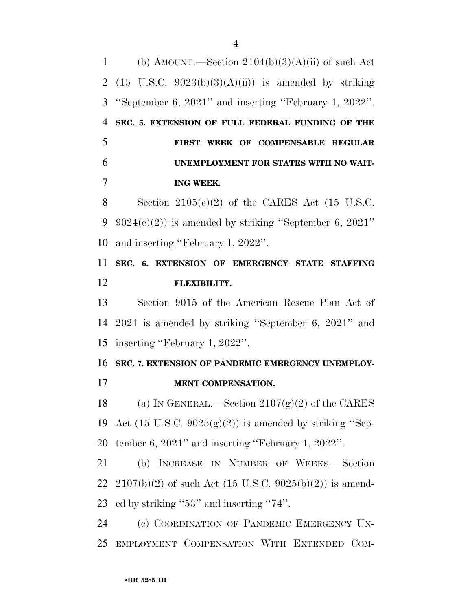1 (b) AMOUNT.—Section  $2104(b)(3)(A)(ii)$  of such Act 2 (15 U.S.C.  $9023(b)(3)(A)(ii)$ ) is amended by striking ''September 6, 2021'' and inserting ''February 1, 2022''. **SEC. 5. EXTENSION OF FULL FEDERAL FUNDING OF THE FIRST WEEK OF COMPENSABLE REGULAR UNEMPLOYMENT FOR STATES WITH NO WAIT-ING WEEK.** 

8 Section  $2105(e)(2)$  of the CARES Act  $(15 \text{ U.S.C.})$ 9  $9024(e)(2)$  is amended by striking "September 6,  $2021$ " and inserting ''February 1, 2022''.

 **SEC. 6. EXTENSION OF EMERGENCY STATE STAFFING FLEXIBILITY.** 

 Section 9015 of the American Rescue Plan Act of 2021 is amended by striking ''September 6, 2021'' and inserting ''February 1, 2022''.

**SEC. 7. EXTENSION OF PANDEMIC EMERGENCY UNEMPLOY-**

**MENT COMPENSATION.** 

18 (a) IN GENERAL.—Section  $2107(g)(2)$  of the CARES 19 Act (15 U.S.C.  $9025(g)(2)$ ) is amended by striking "Sep-tember 6, 2021'' and inserting ''February 1, 2022''.

 (b) INCREASE IN NUMBER OF WEEKS.—Section 22 2107(b)(2) of such Act (15 U.S.C. 9025(b)(2)) is amend-ed by striking ''53'' and inserting ''74''.

 (c) COORDINATION OF PANDEMIC EMERGENCY UN-EMPLOYMENT COMPENSATION WITH EXTENDED COM-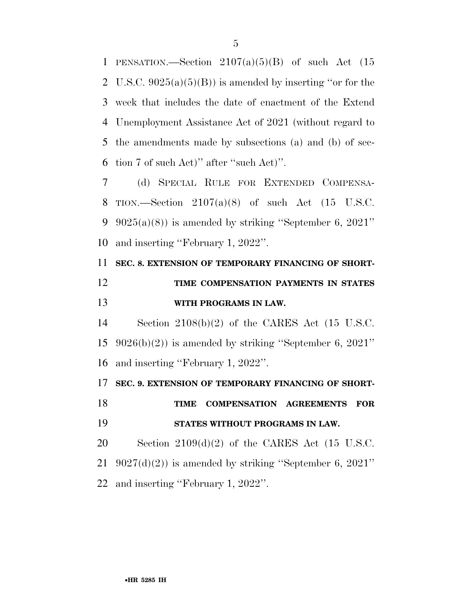1 PENSATION.—Section  $2107(a)(5)(B)$  of such Act  $(15)$ 2 U.S.C.  $9025(a)(5)(B)$  is amended by inserting "or for the week that includes the date of enactment of the Extend Unemployment Assistance Act of 2021 (without regard to the amendments made by subsections (a) and (b) of sec-tion 7 of such Act)'' after ''such Act)''.

 (d) SPECIAL RULE FOR EXTENDED COMPENSA- TION.—Section 2107(a)(8) of such Act (15 U.S.C.  $9025(a)(8)$  is amended by striking "September 6, 2021" and inserting ''February 1, 2022''.

# **SEC. 8. EXTENSION OF TEMPORARY FINANCING OF SHORT- TIME COMPENSATION PAYMENTS IN STATES WITH PROGRAMS IN LAW.**

 Section 2108(b)(2) of the CARES Act (15 U.S.C. 9026(b)(2)) is amended by striking ''September 6, 2021'' and inserting ''February 1, 2022''.

**SEC. 9. EXTENSION OF TEMPORARY FINANCING OF SHORT-**

 **TIME COMPENSATION AGREEMENTS FOR STATES WITHOUT PROGRAMS IN LAW.** 

20 Section  $2109(d)(2)$  of the CARES Act (15 U.S.C. 21  $9027(d)(2)$  is amended by striking "September 6, 2021" and inserting ''February 1, 2022''.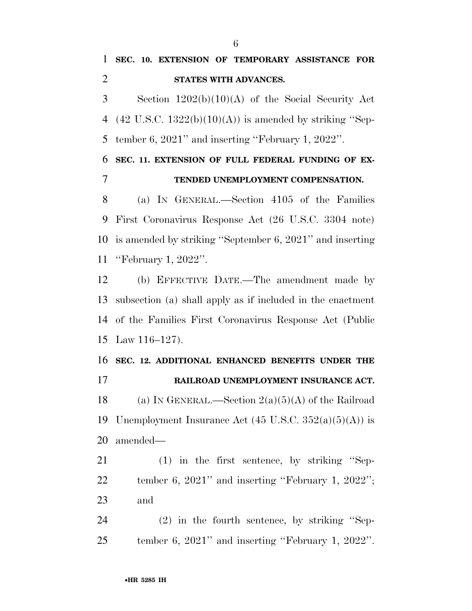Section 1202(b)(10)(A) of the Social Security Act 4 (42 U.S.C.  $1322(b)(10)(A)$ ) is amended by striking "Sep-tember 6, 2021'' and inserting ''February 1, 2022''.

 **SEC. 11. EXTENSION OF FULL FEDERAL FUNDING OF EX-TENDED UNEMPLOYMENT COMPENSATION.** 

 (a) IN GENERAL.—Section 4105 of the Families First Coronavirus Response Act (26 U.S.C. 3304 note) is amended by striking ''September 6, 2021'' and inserting ''February 1, 2022''.

 (b) EFFECTIVE DATE.—The amendment made by subsection (a) shall apply as if included in the enactment of the Families First Coronavirus Response Act (Public Law 116–127).

 **SEC. 12. ADDITIONAL ENHANCED BENEFITS UNDER THE RAILROAD UNEMPLOYMENT INSURANCE ACT.**  18 (a) IN GENERAL.—Section  $2(a)(5)(A)$  of the Railroad 19 Unemployment Insurance Act  $(45 \text{ U.S.C. } 352(a)(5)(A))$  is amended—

 (1) in the first sentence, by striking ''Sep- tember 6, 2021'' and inserting ''February 1, 2022''; and

 (2) in the fourth sentence, by striking ''Sep-tember 6, 2021'' and inserting ''February 1, 2022''.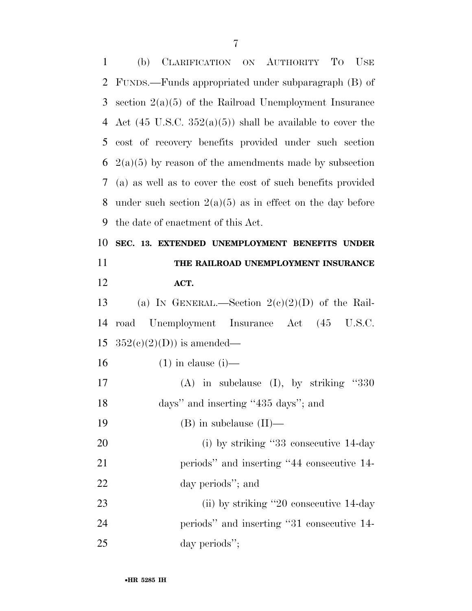| $\mathbf{1}$ | (b)<br>CLARIFICATION ON AUTHORITY TO USE                             |
|--------------|----------------------------------------------------------------------|
| 2            | FUNDS.—Funds appropriated under subparagraph (B) of                  |
| 3            | section $2(a)(5)$ of the Railroad Unemployment Insurance             |
| 4            | Act $(45 \text{ U.S.C. } 352(a)(5))$ shall be available to cover the |
| 5            | cost of recovery benefits provided under such section                |
| 6            | $2(a)(5)$ by reason of the amendments made by subsection             |
| 7            | (a) as well as to cover the cost of such benefits provided           |
| 8            | under such section $2(a)(5)$ as in effect on the day before          |
| 9            | the date of enactment of this Act.                                   |
| 10           | SEC. 13. EXTENDED UNEMPLOYMENT BENEFITS UNDER                        |
| 11           | THE RAILROAD UNEMPLOYMENT INSURANCE                                  |
| 12           | ACT.                                                                 |
| 13           | (a) IN GENERAL.—Section $2(e)(2)(D)$ of the Rail-                    |
| 14           | road Unemployment Insurance Act (45 U.S.C.                           |
| 15           | $352(e)(2)(D)$ is amended—                                           |
| 16           | $(1)$ in clause $(i)$ —                                              |
|              |                                                                      |
| 17           | $(A)$ in subclause $(I)$ , by striking "330                          |
| 18           | days" and inserting "435 days"; and                                  |
| 19           | $(B)$ in subclause $(II)$ —                                          |
| 20           | (i) by striking "33 consecutive 14-day                               |
| 21           | periods" and inserting "44 consecutive 14-                           |
| 22           | day periods"; and                                                    |
| 23           | (ii) by striking "20 consecutive 14-day                              |
| 24           | periods" and inserting "31 consecutive 14-                           |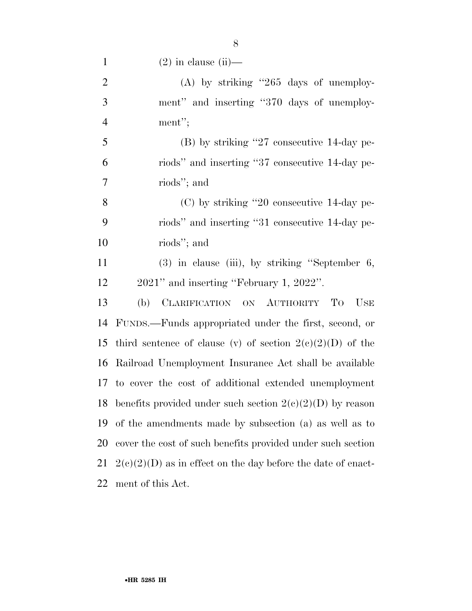1 (2) in clause (ii)—

| $\overline{2}$ | $(A)$ by striking "265 days of unemploy-                    |
|----------------|-------------------------------------------------------------|
| 3              | ment" and inserting "370 days of unemploy-                  |
| $\overline{4}$ | ment";                                                      |
| 5              | (B) by striking "27 consecutive 14-day pe-                  |
| 6              | riods" and inserting "37 consecutive 14-day pe-             |
| $\overline{7}$ | riods"; and                                                 |
| 8              | $(C)$ by striking "20 consecutive 14-day pe-                |
| 9              | riods" and inserting "31 consecutive 14-day pe-             |
| 10             | riods"; and                                                 |
| 11             | $(3)$ in clause (iii), by striking "September 6,            |
| 12             | 2021" and inserting "February 1, 2022".                     |
| 13             | (b)<br>CLARIFICATION ON AUTHORITY TO<br><b>USE</b>          |
| 14             | FUNDS.—Funds appropriated under the first, second, or       |
| 15             | third sentence of clause (v) of section $2(e)(2)(D)$ of the |
| 16             | Railroad Unemployment Insurance Act shall be available      |
| 17             | to cover the cost of additional extended unemployment       |
| 18             | benefits provided under such section $2(c)(2)(D)$ by reason |
|                |                                                             |

 of the amendments made by subsection (a) as well as to cover the cost of such benefits provided under such section 21  $2(c)(2)(D)$  as in effect on the day before the date of enact-

ment of this Act.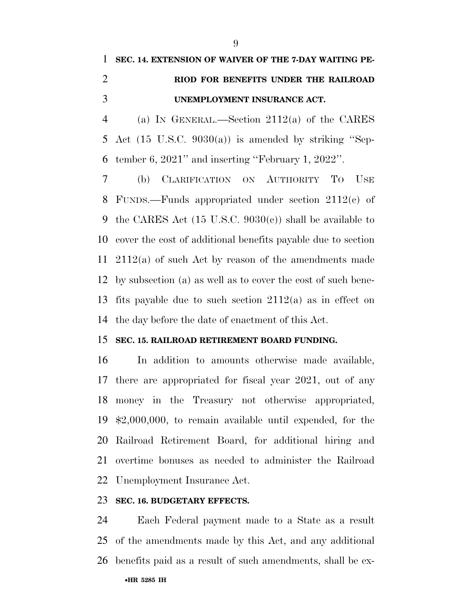# **SEC. 14. EXTENSION OF WAIVER OF THE 7-DAY WAITING PE- RIOD FOR BENEFITS UNDER THE RAILROAD UNEMPLOYMENT INSURANCE ACT.**

 (a) IN GENERAL.—Section 2112(a) of the CARES Act (15 U.S.C. 9030(a)) is amended by striking ''Sep-tember 6, 2021'' and inserting ''February 1, 2022''.

 (b) CLARIFICATION ON AUTHORITY TO USE FUNDS.—Funds appropriated under section 2112(c) of the CARES Act (15 U.S.C. 9030(c)) shall be available to cover the cost of additional benefits payable due to section 2112(a) of such Act by reason of the amendments made by subsection (a) as well as to cover the cost of such bene- fits payable due to such section 2112(a) as in effect on the day before the date of enactment of this Act.

#### **SEC. 15. RAILROAD RETIREMENT BOARD FUNDING.**

 In addition to amounts otherwise made available, there are appropriated for fiscal year 2021, out of any money in the Treasury not otherwise appropriated, \$2,000,000, to remain available until expended, for the Railroad Retirement Board, for additional hiring and overtime bonuses as needed to administer the Railroad Unemployment Insurance Act.

### **SEC. 16. BUDGETARY EFFECTS.**

 Each Federal payment made to a State as a result of the amendments made by this Act, and any additional benefits paid as a result of such amendments, shall be ex